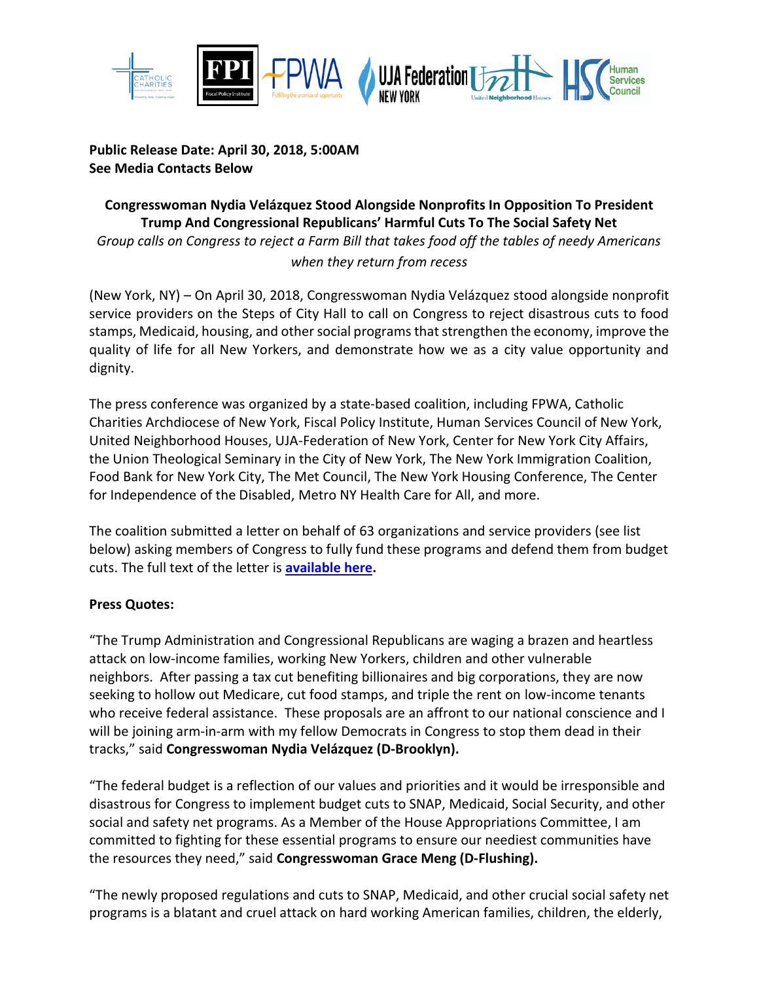

### **Public Release Date: April 30, 2018, 5:00AM See Media Contacts Below**

# **Congresswoman Nydia Velázquez Stood Alongside Nonprofits In Opposition To President Trump And Congressional Republicans' Harmful Cuts To The Social Safety Net** *Group calls on Congress to reject a Farm Bill that takes food off the tables of needy Americans when they return from recess*

(New York, NY) – On April 30, 2018, Congresswoman Nydia Velázquez stood alongside nonprofit service providers on the Steps of City Hall to call on Congress to reject disastrous cuts to food stamps, Medicaid, housing, and other social programs that strengthen the economy, improve the quality of life for all New Yorkers, and demonstrate how we as a city value opportunity and dignity.

The press conference was organized by a state-based coalition, including FPWA, Catholic Charities Archdiocese of New York, Fiscal Policy Institute, Human Services Council of New York, United Neighborhood Houses, UJA-Federation of New York, Center for New York City Affairs, the Union Theological Seminary in the City of New York, The New York Immigration Coalition, Food Bank for New York City, The Met Council, The New York Housing Conference, The Center for Independence of the Disabled, Metro NY Health Care for All, and more.

The coalition submitted a letter on behalf of 63 organizations and service providers (see list below) asking members of Congress to fully fund these programs and defend them from budget cuts. The full text of the letter is **[available here.](http://salsa.wiredforchange.com/o/6584/p/dia/action4/common/public/?action_KEY=13352)**

# **Press Quotes:**

"The Trump Administration and Congressional Republicans are waging a brazen and heartless attack on low-income families, working New Yorkers, children and other vulnerable neighbors. After passing a tax cut benefiting billionaires and big corporations, they are now seeking to hollow out Medicare, cut food stamps, and triple the rent on low-income tenants who receive federal assistance. These proposals are an affront to our national conscience and I will be joining arm-in-arm with my fellow Democrats in Congress to stop them dead in their tracks," said **Congresswoman Nydia Velázquez (D-Brooklyn).**

"The federal budget is a reflection of our values and priorities and it would be irresponsible and disastrous for Congress to implement budget cuts to SNAP, Medicaid, Social Security, and other social and safety net programs. As a Member of the House Appropriations Committee, I am committed to fighting for these essential programs to ensure our neediest communities have the resources they need," said **Congresswoman Grace Meng (D-Flushing).**

"The newly proposed regulations and cuts to SNAP, Medicaid, and other crucial social safety net programs is a blatant and cruel attack on hard working American families, children, the elderly,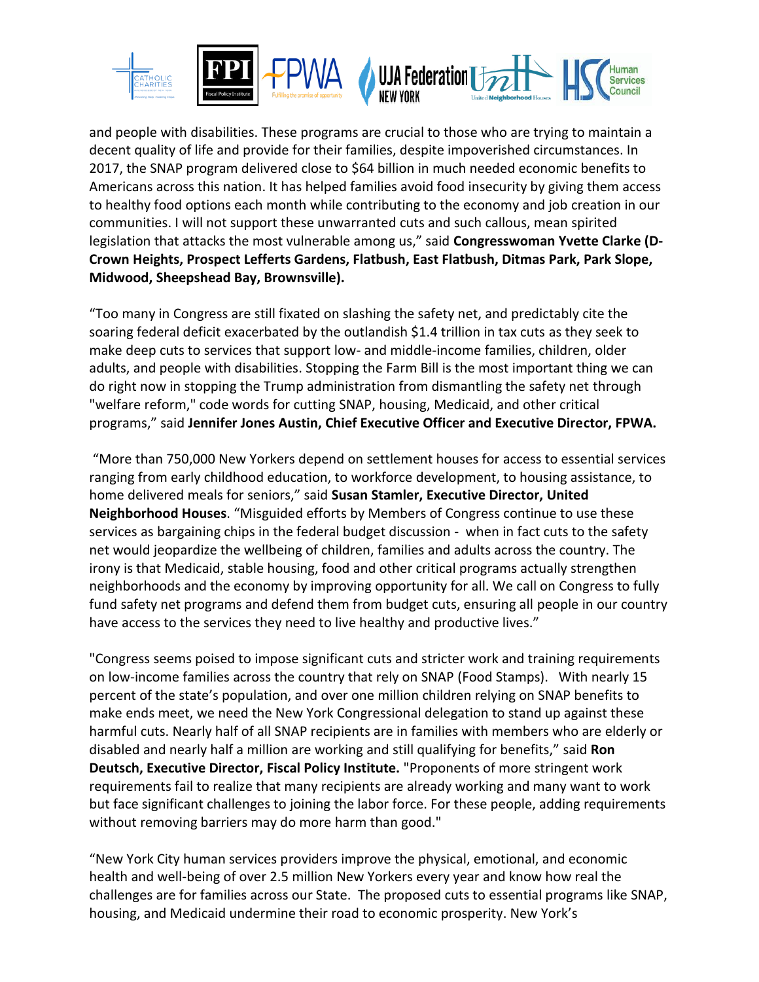

and people with disabilities. These programs are crucial to those who are trying to maintain a decent quality of life and provide for their families, despite impoverished circumstances. In 2017, the SNAP program delivered close to \$64 billion in much needed economic benefits to Americans across this nation. It has helped families avoid food insecurity by giving them access to healthy food options each month while contributing to the economy and job creation in our communities. I will not support these unwarranted cuts and such callous, mean spirited legislation that attacks the most vulnerable among us," said **Congresswoman Yvette Clarke (D-Crown Heights, Prospect Lefferts Gardens, Flatbush, East Flatbush, Ditmas Park, Park Slope, Midwood, Sheepshead Bay, Brownsville).**

"Too many in Congress are still fixated on slashing the safety net, and predictably cite the soaring federal deficit exacerbated by the outlandish \$1.4 trillion in tax cuts as they seek to make deep cuts to services that support low- and middle-income families, children, older adults, and people with disabilities. Stopping the Farm Bill is the most important thing we can do right now in stopping the Trump administration from dismantling the safety net through "welfare reform," code words for cutting SNAP, housing, Medicaid, and other critical programs," said **Jennifer Jones Austin, Chief Executive Officer and Executive Director, FPWA.**

"More than 750,000 New Yorkers depend on settlement houses for access to essential services ranging from early childhood education, to workforce development, to housing assistance, to home delivered meals for seniors," said **Susan Stamler, Executive Director, United Neighborhood Houses**. "Misguided efforts by Members of Congress continue to use these services as bargaining chips in the federal budget discussion - when in fact cuts to the safety net would jeopardize the wellbeing of children, families and adults across the country. The irony is that Medicaid, stable housing, food and other critical programs actually strengthen neighborhoods and the economy by improving opportunity for all. We call on Congress to fully fund safety net programs and defend them from budget cuts, ensuring all people in our country have access to the services they need to live healthy and productive lives."

"Congress seems poised to impose significant cuts and stricter work and training requirements on low-income families across the country that rely on SNAP (Food Stamps). With nearly 15 percent of the state's population, and over one million children relying on SNAP benefits to make ends meet, we need the New York Congressional delegation to stand up against these harmful cuts. Nearly half of all SNAP recipients are in families with members who are elderly or disabled and nearly half a million are working and still qualifying for benefits," said **Ron Deutsch, Executive Director, Fiscal Policy Institute.** "Proponents of more stringent work requirements fail to realize that many recipients are already working and many want to work but face significant challenges to joining the labor force. For these people, adding requirements without removing barriers may do more harm than good."

"New York City human services providers improve the physical, emotional, and economic health and well-being of over 2.5 million New Yorkers every year and know how real the challenges are for families across our State. The proposed cuts to essential programs like SNAP, housing, and Medicaid undermine their road to economic prosperity. New York's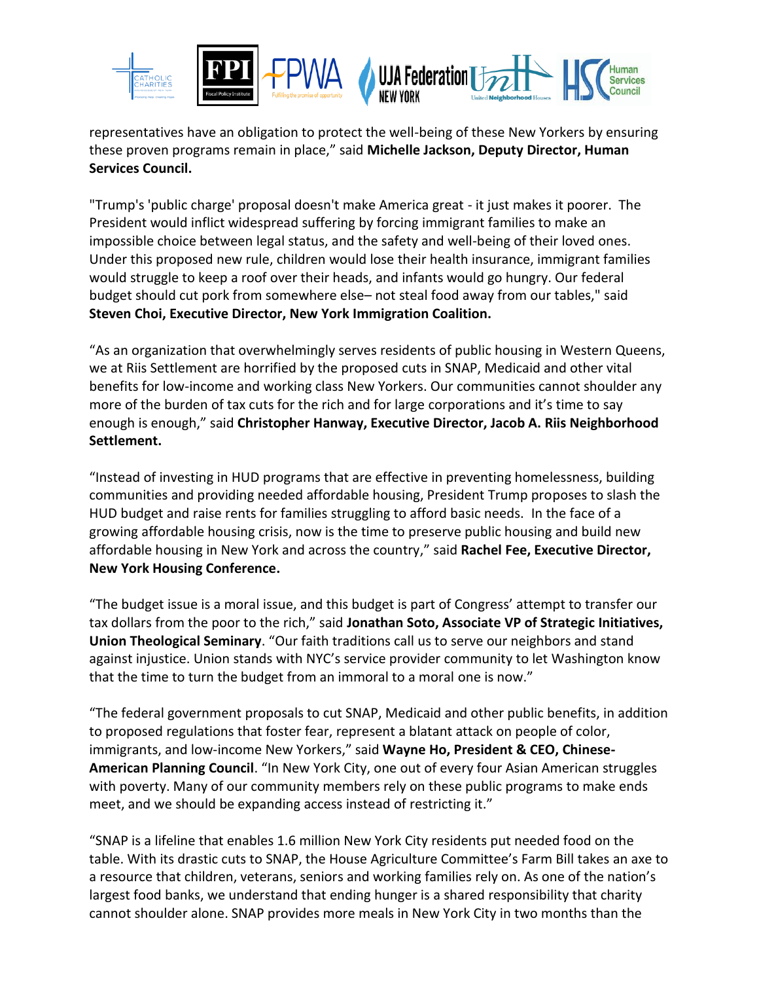

representatives have an obligation to protect the well-being of these New Yorkers by ensuring these proven programs remain in place," said **Michelle Jackson, Deputy Director, Human Services Council.**

"Trump's 'public charge' proposal doesn't make America great - it just makes it poorer. The President would inflict widespread suffering by forcing immigrant families to make an impossible choice between legal status, and the safety and well-being of their loved ones. Under this proposed new rule, children would lose their health insurance, immigrant families would struggle to keep a roof over their heads, and infants would go hungry. Our federal budget should cut pork from somewhere else– not steal food away from our tables," said **Steven Choi, Executive Director, New York Immigration Coalition.**

"As an organization that overwhelmingly serves residents of public housing in Western Queens, we at Riis Settlement are horrified by the proposed cuts in SNAP, Medicaid and other vital benefits for low-income and working class New Yorkers. Our communities cannot shoulder any more of the burden of tax cuts for the rich and for large corporations and it's time to say enough is enough," said **Christopher Hanway, Executive Director, Jacob A. Riis Neighborhood Settlement.**

"Instead of investing in HUD programs that are effective in preventing homelessness, building communities and providing needed affordable housing, President Trump proposes to slash the HUD budget and raise rents for families struggling to afford basic needs. In the face of a growing affordable housing crisis, now is the time to preserve public housing and build new affordable housing in New York and across the country," said **Rachel Fee, Executive Director, New York Housing Conference.** 

"The budget issue is a moral issue, and this budget is part of Congress' attempt to transfer our tax dollars from the poor to the rich," said **Jonathan Soto, Associate VP of Strategic Initiatives, Union Theological Seminary**. "Our faith traditions call us to serve our neighbors and stand against injustice. Union stands with NYC's service provider community to let Washington know that the time to turn the budget from an immoral to a moral one is now."

"The federal government proposals to cut SNAP, Medicaid and other public benefits, in addition to proposed regulations that foster fear, represent a blatant attack on people of color, immigrants, and low-income New Yorkers," said **Wayne Ho, President & CEO, Chinese-American Planning Council**. "In New York City, one out of every four Asian American struggles with poverty. Many of our community members rely on these public programs to make ends meet, and we should be expanding access instead of restricting it."

"SNAP is a lifeline that enables 1.6 million New York City residents put needed food on the table. With its drastic cuts to SNAP, the House Agriculture Committee's Farm Bill takes an axe to a resource that children, veterans, seniors and working families rely on. As one of the nation's largest food banks, we understand that ending hunger is a shared responsibility that charity cannot shoulder alone. SNAP provides more meals in New York City in two months than the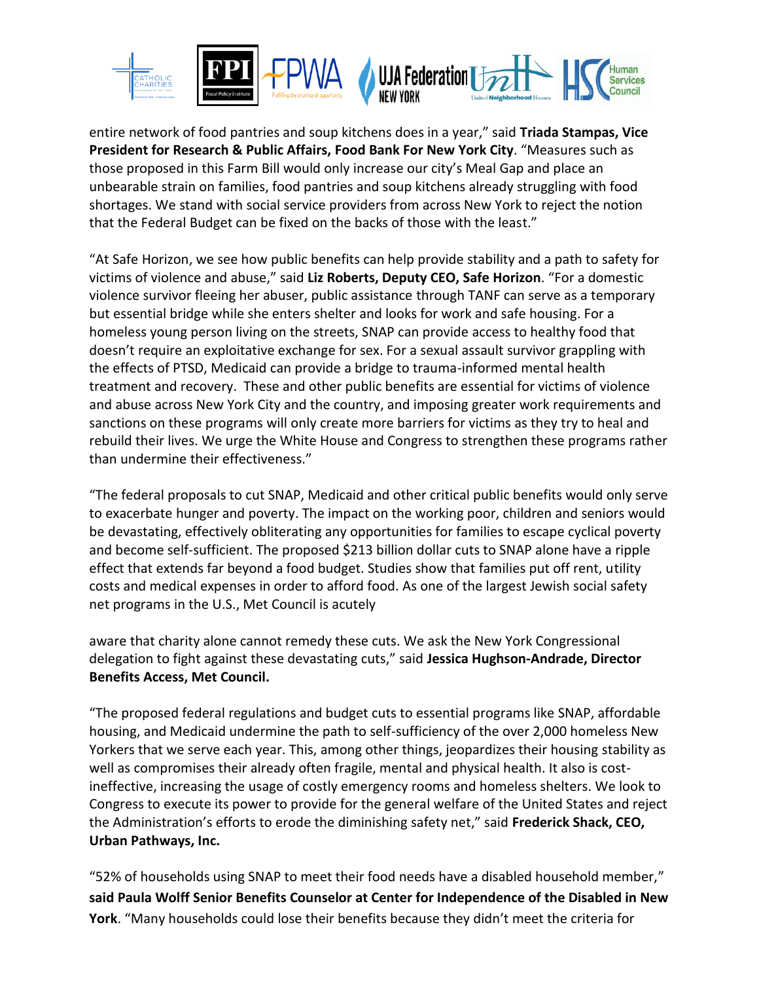

entire network of food pantries and soup kitchens does in a year," said **Triada Stampas, Vice President for Research & Public Affairs, Food Bank For New York City**. "Measures such as those proposed in this Farm Bill would only increase our city's Meal Gap and place an unbearable strain on families, food pantries and soup kitchens already struggling with food shortages. We stand with social service providers from across New York to reject the notion that the Federal Budget can be fixed on the backs of those with the least."

"At Safe Horizon, we see how public benefits can help provide stability and a path to safety for victims of violence and abuse," said **Liz Roberts, Deputy CEO, Safe Horizon**. "For a domestic violence survivor fleeing her abuser, public assistance through TANF can serve as a temporary but essential bridge while she enters shelter and looks for work and safe housing. For a homeless young person living on the streets, SNAP can provide access to healthy food that doesn't require an exploitative exchange for sex. For a sexual assault survivor grappling with the effects of PTSD, Medicaid can provide a bridge to trauma-informed mental health treatment and recovery. These and other public benefits are essential for victims of violence and abuse across New York City and the country, and imposing greater work requirements and sanctions on these programs will only create more barriers for victims as they try to heal and rebuild their lives. We urge the White House and Congress to strengthen these programs rather than undermine their effectiveness."

"The federal proposals to cut SNAP, Medicaid and other critical public benefits would only serve to exacerbate hunger and poverty. The impact on the working poor, children and seniors would be devastating, effectively obliterating any opportunities for families to escape cyclical poverty and become self-sufficient. The proposed \$213 billion dollar cuts to SNAP alone have a ripple effect that extends far beyond a food budget. Studies show that families put off rent, utility costs and medical expenses in order to afford food. As one of the largest Jewish social safety net programs in the U.S., Met Council is acutely

aware that charity alone cannot remedy these cuts. We ask the New York Congressional delegation to fight against these devastating cuts," said **Jessica Hughson-Andrade, Director Benefits Access, Met Council.**

"The proposed federal regulations and budget cuts to essential programs like SNAP, affordable housing, and Medicaid undermine the path to self-sufficiency of the over 2,000 homeless New Yorkers that we serve each year. This, among other things, jeopardizes their housing stability as well as compromises their already often fragile, mental and physical health. It also is costineffective, increasing the usage of costly emergency rooms and homeless shelters. We look to Congress to execute its power to provide for the general welfare of the United States and reject the Administration's efforts to erode the diminishing safety net," said **Frederick Shack, CEO, Urban Pathways, Inc.**

"52% of households using SNAP to meet their food needs have a disabled household member," **said Paula Wolff Senior Benefits Counselor at Center for Independence of the Disabled in New York**. "Many households could lose their benefits because they didn't meet the criteria for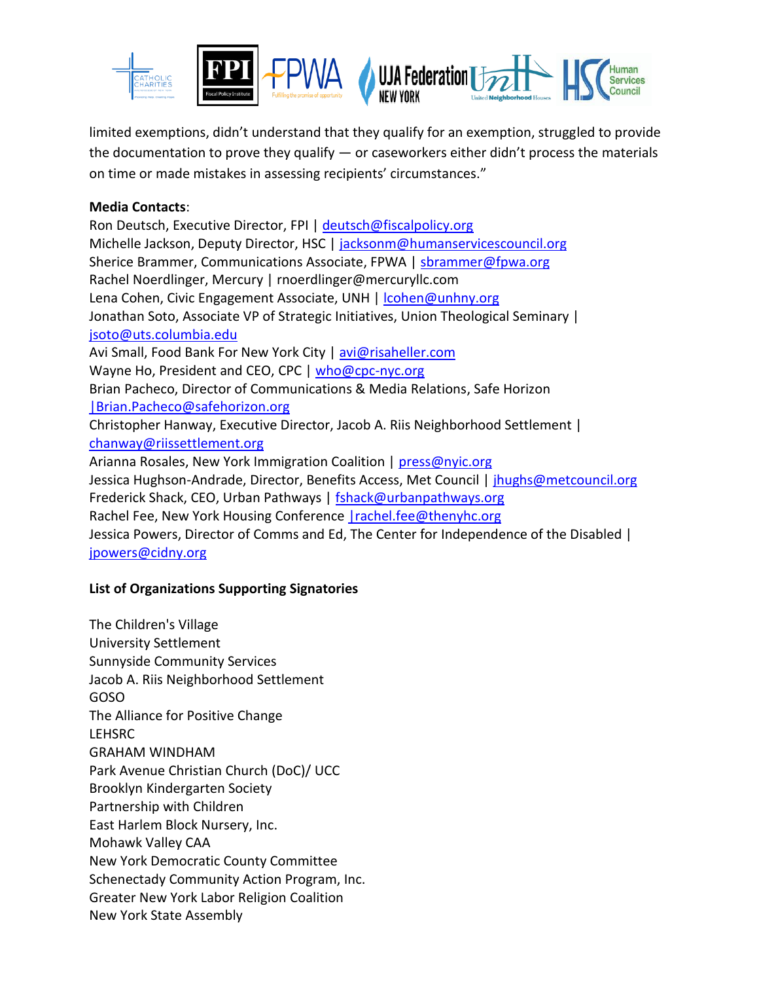

limited exemptions, didn't understand that they qualify for an exemption, struggled to provide the documentation to prove they qualify — or caseworkers either didn't process the materials on time or made mistakes in assessing recipients' circumstances."

### **Media Contacts**:

Ron Deutsch, Executive Director, FPI | [deutsch@fiscalpolicy.org](mailto:deutsch@fiscalpolicy.org) Michelle Jackson, Deputy Director, HSC | [jacksonm@humanservicescouncil.org](mailto:jacksonm@humanservicescouncil.org) Sherice Brammer, Communications Associate, FPWA | [sbrammer@fpwa.org](mailto:sbrammer@fpwa.org) Rachel Noerdlinger, Mercury | rnoerdlinger@mercuryllc.com Lena Cohen, Civic Engagement Associate, UNH | cohen@unhny.org Jonathan Soto, Associate VP of Strategic Initiatives, Union Theological Seminary | [jsoto@uts.columbia.edu](mailto:jsoto@uts.columbia.edu) Avi Small, Food Bank For New York City [| avi@risaheller.com](mailto:avi@risaheller.com) Wayne Ho, President and CEO, CPC | [who@cpc-nyc.org](mailto:who@cpc-nyc.org) Brian Pacheco, Director of Communications & Media Relations, Safe Horizon [|Brian.Pacheco@safehorizon.org](mailto:%7CBrian.Pacheco@safehorizon.org) Christopher Hanway, Executive Director, Jacob A. Riis Neighborhood Settlement | [chanway@riissettlement.org](mailto:chanway@riissettlement.org) Arianna Rosales, New York Immigration Coalition | [press@nyic.org](mailto:press@nyic.org) Jessica Hughson-Andrade, Director, Benefits Access, Met Council | [jhughs@metcouncil.org](mailto:jhughs@metcouncil.org) Frederick Shack, CEO, Urban Pathways | [fshack@urbanpathways.org](mailto:fshack@urbanpathways.org) Rachel Fee, New York Housing Conference | rachel.fee@thenyhc.org Jessica Powers, Director of Comms and Ed, The Center for Independence of the Disabled | [jpowers@cidny.org](mailto:jpowers@cidny.org)

# **List of Organizations Supporting Signatories**

The Children's Village University Settlement Sunnyside Community Services Jacob A. Riis Neighborhood Settlement GOSO The Alliance for Positive Change LEHSRC GRAHAM WINDHAM Park Avenue Christian Church (DoC)/ UCC Brooklyn Kindergarten Society Partnership with Children East Harlem Block Nursery, Inc. Mohawk Valley CAA New York Democratic County Committee Schenectady Community Action Program, Inc. Greater New York Labor Religion Coalition New York State Assembly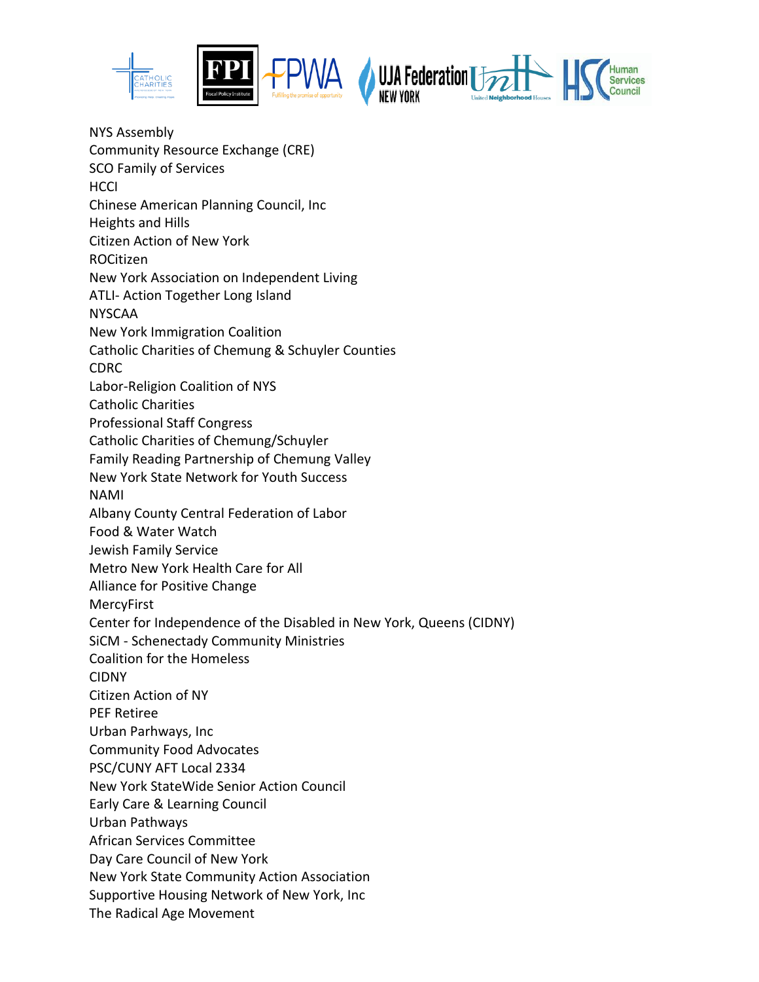

NYS Assembly Community Resource Exchange (CRE) SCO Family of Services HCCI Chinese American Planning Council, Inc Heights and Hills Citizen Action of New York ROCitizen New York Association on Independent Living ATLI- Action Together Long Island NYSCAA New York Immigration Coalition Catholic Charities of Chemung & Schuyler Counties CDRC Labor-Religion Coalition of NYS Catholic Charities Professional Staff Congress Catholic Charities of Chemung/Schuyler Family Reading Partnership of Chemung Valley New York State Network for Youth Success NAMI Albany County Central Federation of Labor Food & Water Watch Jewish Family Service Metro New York Health Care for All Alliance for Positive Change MercyFirst Center for Independence of the Disabled in New York, Queens (CIDNY) SiCM - Schenectady Community Ministries Coalition for the Homeless CIDNY Citizen Action of NY PEF Retiree Urban Parhways, Inc Community Food Advocates PSC/CUNY AFT Local 2334 New York StateWide Senior Action Council Early Care & Learning Council Urban Pathways African Services Committee Day Care Council of New York New York State Community Action Association Supportive Housing Network of New York, Inc The Radical Age Movement